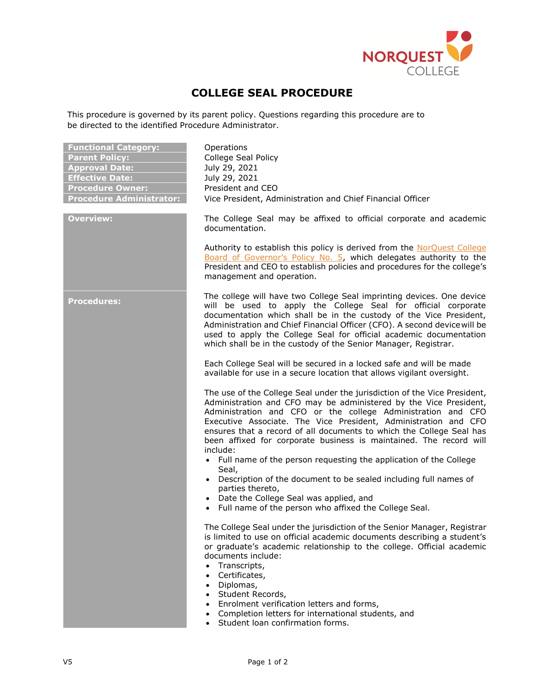

## **COLLEGE SEAL PROCEDURE**

This procedure is governed by its parent policy. Questions regarding this procedure are to be directed to the identified Procedure Administrator.

| <b>Functional Category:</b><br><b>Parent Policy:</b><br><b>Approval Date:</b><br><b>Effective Date:</b><br><b>Procedure Owner:</b><br><b>Procedure Administrator:</b> | Operations<br>College Seal Policy<br>July 29, 2021<br>July 29, 2021<br>President and CEO<br>Vice President, Administration and Chief Financial Officer                                                                                                                                                                                                                                                                                                                   |
|-----------------------------------------------------------------------------------------------------------------------------------------------------------------------|--------------------------------------------------------------------------------------------------------------------------------------------------------------------------------------------------------------------------------------------------------------------------------------------------------------------------------------------------------------------------------------------------------------------------------------------------------------------------|
| <b>Overview:</b>                                                                                                                                                      | The College Seal may be affixed to official corporate and academic<br>documentation.                                                                                                                                                                                                                                                                                                                                                                                     |
|                                                                                                                                                                       | Authority to establish this policy is derived from the NorQuest College<br>Board of Governor's Policy No. 5, which delegates authority to the<br>President and CEO to establish policies and procedures for the college's<br>management and operation.                                                                                                                                                                                                                   |
| <b>Procedures:</b>                                                                                                                                                    | The college will have two College Seal imprinting devices. One device<br>will be used to apply the College Seal for official corporate<br>documentation which shall be in the custody of the Vice President,<br>Administration and Chief Financial Officer (CFO). A second device will be<br>used to apply the College Seal for official academic documentation<br>which shall be in the custody of the Senior Manager, Registrar.                                       |
|                                                                                                                                                                       | Each College Seal will be secured in a locked safe and will be made<br>available for use in a secure location that allows vigilant oversight.                                                                                                                                                                                                                                                                                                                            |
|                                                                                                                                                                       | The use of the College Seal under the jurisdiction of the Vice President,<br>Administration and CFO may be administered by the Vice President,<br>Administration and CFO or the college Administration and CFO<br>Executive Associate. The Vice President, Administration and CFO<br>ensures that a record of all documents to which the College Seal has<br>been affixed for corporate business is maintained. The record will<br>include:                              |
|                                                                                                                                                                       | • Full name of the person requesting the application of the College<br>Seal,<br>• Description of the document to be sealed including full names of<br>parties thereto,<br>• Date the College Seal was applied, and<br>• Full name of the person who affixed the College Seal.                                                                                                                                                                                            |
|                                                                                                                                                                       | The College Seal under the jurisdiction of the Senior Manager, Registrar<br>is limited to use on official academic documents describing a student's<br>or graduate's academic relationship to the college. Official academic<br>documents include:<br>Transcripts,<br>Certificates,<br>Diplomas,<br>Student Records,<br>$\bullet$<br>Enrolment verification letters and forms,<br>Completion letters for international students, and<br>Student loan confirmation forms. |